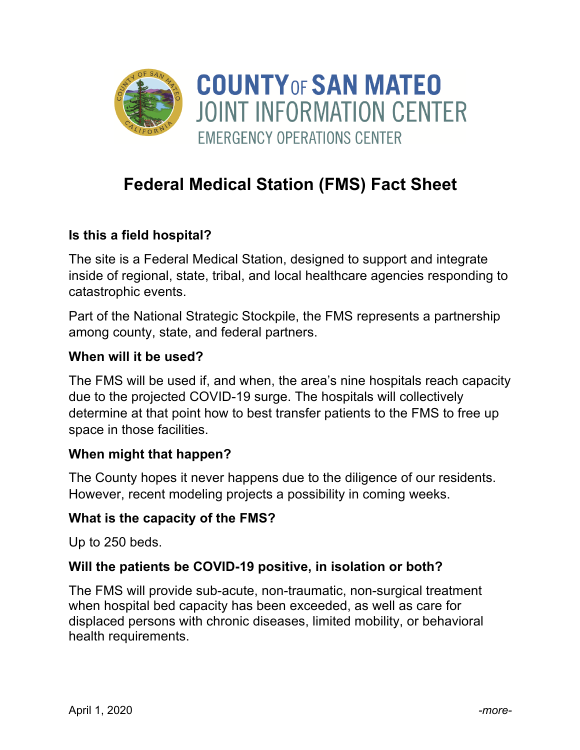

# **Federal Medical Station (FMS) Fact Sheet**

## **Is this a field hospital?**

The site is a Federal Medical Station, designed to support and integrate inside of regional, state, tribal, and local healthcare agencies responding to catastrophic events.

Part of the National Strategic Stockpile, the FMS represents a partnership among county, state, and federal partners.

#### **When will it be used?**

The FMS will be used if, and when, the area's nine hospitals reach capacity due to the projected COVID-19 surge. The hospitals will collectively determine at that point how to best transfer patients to the FMS to free up space in those facilities.

### **When might that happen?**

The County hopes it never happens due to the diligence of our residents. However, recent modeling projects a possibility in coming weeks.

#### **What is the capacity of the FMS?**

Up to 250 beds.

### **Will the patients be COVID-19 positive, in isolation or both?**

The FMS will provide sub-acute, non-traumatic, non-surgical treatment when hospital bed capacity has been exceeded, as well as care for displaced persons with chronic diseases, limited mobility, or behavioral health requirements.